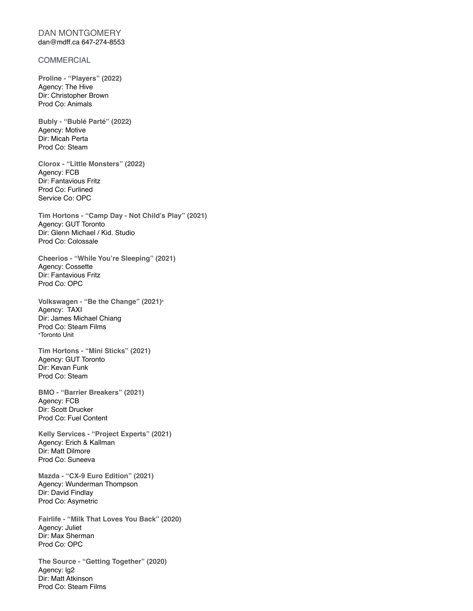## DAN MONTGOMERY dan@mdff.ca 647-274-8553

## **COMMERCIAL**

**Proline - "Players" (2022)**  Agency: The Hive Dir: Christopher Brown Prod Co: Animals

**Bubly - "Bublé Parté" (2022)**  Agency: Motive Dir: Micah Perta Prod Co: Steam

**Clorox - "Little Monsters" (2022)**  Agency: FCB Dir: Fantavious Fritz Prod Co: Furlined Service Co: OPC

**Tim Hortons - "Camp Day - Not Child's Play" (2021)**  Agency: GUT Toronto Dir: Glenn Michael / Kid. Studio Prod Co: Colossale

**Cheerios - "While You're Sleeping" (2021)**  Agency: Cossette Dir: Fantavious Fritz Prod Co: OPC

**Volkswagen - "Be the Change" (2021)\*** Agency: TAXI Dir: James Michael Chiang Prod Co: Steam Films \*Toronto Unit

**Tim Hortons - "Mini Sticks" (2021)**  Agency: GUT Toronto Dir: Kevan Funk Prod Co: Steam

**BMO - "Barrier Breakers" (2021)**  Agency: FCB Dir: Scott Drucker Prod Co: Fuel Content

**Kelly Services - "Project Experts" (2021)**  Agency: Erich & Kallman Dir: Matt Dilmore Prod Co: Suneeva

**Mazda - "CX-9 Euro Edition" (2021)**  Agency: Wunderman Thompson Dir: David Findlay Prod Co: Asymetric

**Fairlife - "Milk That Loves You Back" (2020)**  Agency: Juliet Dir: Max Sherman Prod Co: OPC

**The Source - "Getting Together" (2020)**  Agency: lg2 Dir: Matt Atkinson Prod Co: Steam Films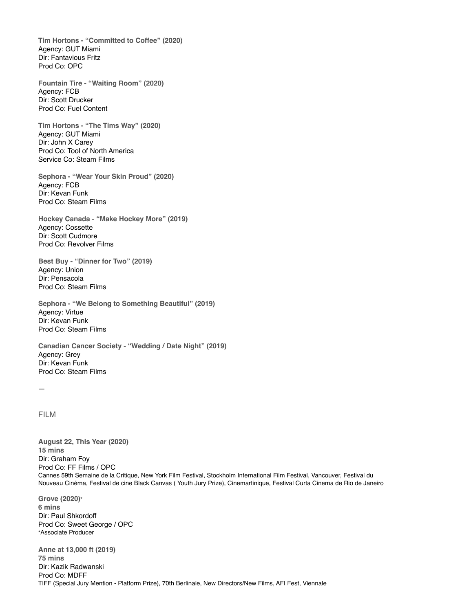**Tim Hortons - "Committed to Coffee" (2020)**  Agency: GUT Miami Dir: Fantavious Fritz Prod Co: OPC

**Fountain Tire - "Waiting Room" (2020)**  Agency: FCB Dir: Scott Drucker Prod Co: Fuel Content

**Tim Hortons - "The Tims Way" (2020)**  Agency: GUT Miami Dir: John X Carey Prod Co: Tool of North America Service Co: Steam Films

**Sephora - "Wear Your Skin Proud" (2020)**  Agency: FCB Dir: Kevan Funk Prod Co: Steam Films

**Hockey Canada - "Make Hockey More" (2019)**  Agency: Cossette Dir: Scott Cudmore Prod Co: Revolver Films

**Best Buy - "Dinner for Two" (2019)**  Agency: Union Dir: Pensacola Prod Co: Steam Films

**Sephora - "We Belong to Something Beautiful" (2019)**  Agency: Virtue Dir: Kevan Funk Prod Co: Steam Films

**Canadian Cancer Society - "Wedding / Date Night" (2019)**  Agency: Grey Dir: Kevan Funk Prod Co: Steam Films

—

## FILM

**August 22, This Year (2020) 15 mins**  Dir: Graham Foy Prod Co: FF Films / OPC Cannes 59th Semaine de la Critique, New York Film Festival, Stockholm International Film Festival, Vancouver, Festival du Nouveau Cinéma, Festival de cine Black Canvas ( Youth Jury Prize), Cinemartinique, Festival Curta Cinema de Rio de Janeiro

**Grove (2020)\* 6 mins**  Dir: Paul Shkordoff Prod Co: Sweet George / OPC \*Associate Producer

**Anne at 13,000 ft (2019) 75 mins**  Dir: Kazik Radwanski Prod Co: MDFF TIFF (Special Jury Mention - Platform Prize), 70th Berlinale, New Directors/New Films, AFI Fest, Viennale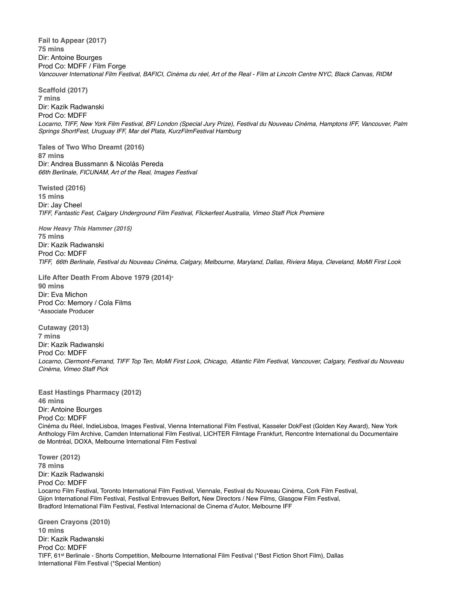**Fail to Appear (2017) 75 mins**  Dir: Antoine Bourges Prod Co: MDFF / Film Forge *Vancouver International Film Festival, BAFICI, Cinéma du réel, Art of the Real - Film at Lincoln Centre NYC, Black Canvas, RIDM* 

**Scaffold (2017) 7 mins**  Dir: Kazik Radwanski Prod Co: MDFF *Locarno, TIFF, New York Film Festival, BFI London (Special Jury Prize), Festival du Nouveau Cinéma, Hamptons IFF, Vancouver, Palm Springs ShortFest, Uruguay IFF, Mar del Plata, KurzFilmFestival Hamburg* 

**Tales of Two Who Dreamt (2016) 87 mins**  Dir: Andrea Bussmann & Nicolás Pereda *66th Berlinale, FICUNAM, Art of the Real, Images Festival* 

**Twisted (2016) 15 mins**  Dir: Jay Cheel *TIFF, Fantastic Fest, Calgary Underground Film Festival, Flickerfest Australia, Vimeo Staff Pick Premiere* 

*How Heavy This Hammer (2015)*  **75 mins**  Dir: Kazik Radwanski Prod Co: MDFF *TIFF, 66th Berlinale, Festival du Nouveau Cinéma, Calgary, Melbourne, Maryland, Dallas, Riviera Maya, Cleveland, MoMI First Look* 

**Life After Death From Above 1979 (2014)\* 90 mins**  Dir: Eva Michon Prod Co: Memory / Cola Films \*Associate Producer

**Cutaway (2013) 7 mins**  Dir: Kazik Radwanski Prod Co: MDFF *Locarno, Clermont-Ferrand, TIFF Top Ten, MoMI First Look, Chicago, Atlantic Film Festival, Vancouver, Calgary, Festival du Nouveau Cinéma, Vimeo Staff Pick* 

**East Hastings Pharmacy (2012) 46 mins**  Dir: Antoine Bourges Prod Co: MDFF Cinéma du Réel, IndieLisboa, Images Festival, Vienna International Film Festival, Kasseler DokFest (Golden Key Award), New York Anthology Film Archive, Camden International Film Festival, LICHTER Filmtage Frankfurt, Rencontre International du Documentaire de Montréal, DOXA, Melbourne International Film Festival

**Tower (2012) 78 mins**  Dir: Kazik Radwanski Prod Co: MDFF Locarno Film Festival, Toronto International Film Festival, Viennale, Festival du Nouveau Cinéma, Cork Film Festival, Gijon International Film Festival, Festival Entrevues Belfort**,** New Directors / New Films, Glasgow Film Festival, Bradford International Film Festival, Festival Internacional de Cinema d'Autor, Melbourne IFF

**Green Crayons (2010) 10 mins**  Dir: Kazik Radwanski Prod Co: MDFF TIFF, 61st Berlinale - Shorts Competition, Melbourne International Film Festival (\*Best Fiction Short Film), Dallas International Film Festival (\*Special Mention)